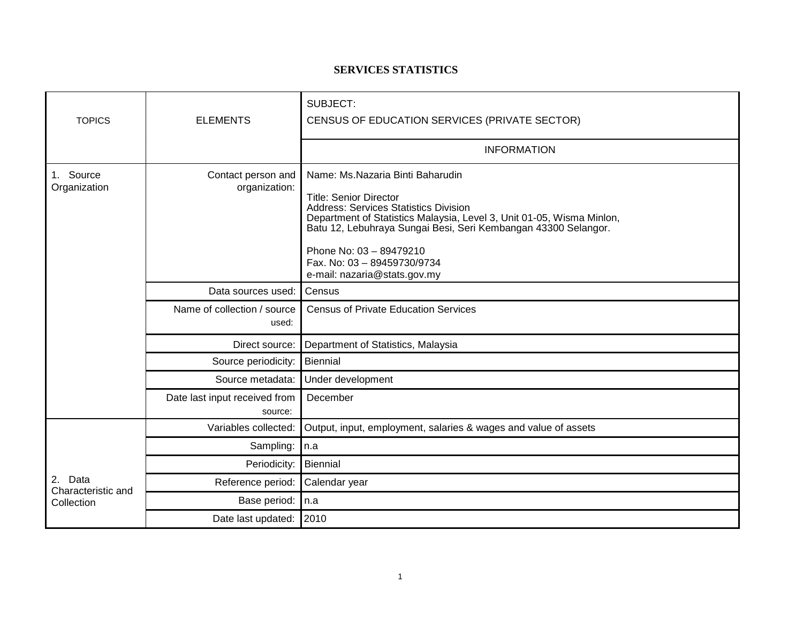## **SERVICES STATISTICS**

| <b>TOPICS</b>                                  | <b>ELEMENTS</b>                          | SUBJECT:<br>CENSUS OF EDUCATION SERVICES (PRIVATE SECTOR)                                                                                                                                                                                                                                                                                       |  |  |
|------------------------------------------------|------------------------------------------|-------------------------------------------------------------------------------------------------------------------------------------------------------------------------------------------------------------------------------------------------------------------------------------------------------------------------------------------------|--|--|
|                                                |                                          | <b>INFORMATION</b>                                                                                                                                                                                                                                                                                                                              |  |  |
| Source<br>1.<br>Organization                   | Contact person and<br>organization:      | Name: Ms.Nazaria Binti Baharudin<br><b>Title: Senior Director</b><br>Address: Services Statistics Division<br>Department of Statistics Malaysia, Level 3, Unit 01-05, Wisma Minlon,<br>Batu 12, Lebuhraya Sungai Besi, Seri Kembangan 43300 Selangor.<br>Phone No: 03 - 89479210<br>Fax. No: 03 - 89459730/9734<br>e-mail: nazaria@stats.gov.my |  |  |
|                                                | Data sources used:                       | Census                                                                                                                                                                                                                                                                                                                                          |  |  |
|                                                | Name of collection / source<br>used:     | <b>Census of Private Education Services</b>                                                                                                                                                                                                                                                                                                     |  |  |
|                                                | Direct source:                           | Department of Statistics, Malaysia                                                                                                                                                                                                                                                                                                              |  |  |
|                                                | Source periodicity:                      | <b>Biennial</b>                                                                                                                                                                                                                                                                                                                                 |  |  |
|                                                | Source metadata:                         | Under development                                                                                                                                                                                                                                                                                                                               |  |  |
|                                                | Date last input received from<br>source: | December                                                                                                                                                                                                                                                                                                                                        |  |  |
| Data<br>2.<br>Characteristic and<br>Collection | Variables collected:                     | Output, input, employment, salaries & wages and value of assets                                                                                                                                                                                                                                                                                 |  |  |
|                                                | Sampling:                                | n.a                                                                                                                                                                                                                                                                                                                                             |  |  |
|                                                | Periodicity:                             | Biennial                                                                                                                                                                                                                                                                                                                                        |  |  |
|                                                | Reference period:                        | Calendar year                                                                                                                                                                                                                                                                                                                                   |  |  |
|                                                | Base period:                             | In.a                                                                                                                                                                                                                                                                                                                                            |  |  |
|                                                | Date last updated:                       | 2010                                                                                                                                                                                                                                                                                                                                            |  |  |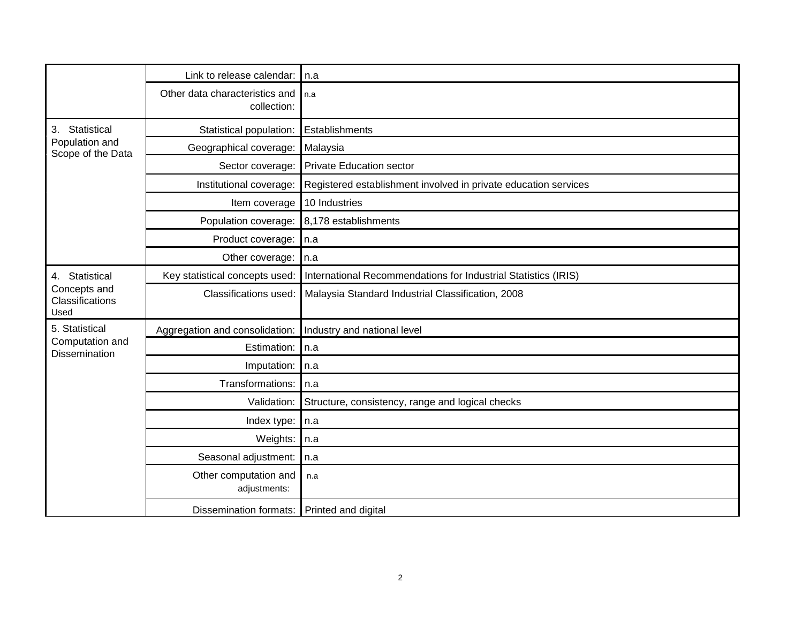|                                                           | Link to release calendar:                     | l n.a                                                           |  |
|-----------------------------------------------------------|-----------------------------------------------|-----------------------------------------------------------------|--|
|                                                           | Other data characteristics and<br>collection: | n.a                                                             |  |
| Statistical<br>3.<br>Population and<br>Scope of the Data  | Statistical population:                       | Establishments                                                  |  |
|                                                           | Geographical coverage:                        | Malaysia                                                        |  |
|                                                           | Sector coverage:                              | <b>Private Education sector</b>                                 |  |
|                                                           | Institutional coverage:                       | Registered establishment involved in private education services |  |
|                                                           | Item coverage                                 | 10 Industries                                                   |  |
|                                                           | Population coverage:                          | 8,178 establishments                                            |  |
|                                                           | Product coverage:                             | $\ln a$                                                         |  |
|                                                           | Other coverage:                               | $\ln a$                                                         |  |
| 4. Statistical<br>Concepts and<br>Classifications<br>Used | Key statistical concepts used:                | International Recommendations for Industrial Statistics (IRIS)  |  |
|                                                           | Classifications used:                         | Malaysia Standard Industrial Classification, 2008               |  |
| 5. Statistical<br>Computation and<br>Dissemination        | Aggregation and consolidation:                | Industry and national level                                     |  |
|                                                           | Estimation:                                   | In.a                                                            |  |
|                                                           | Imputation:                                   | n.a                                                             |  |
|                                                           | Transformations:                              | n.a                                                             |  |
|                                                           | Validation:                                   | Structure, consistency, range and logical checks                |  |
|                                                           | Index type:                                   | n.a                                                             |  |
|                                                           | Weights:                                      | n.a                                                             |  |
|                                                           | Seasonal adjustment:                          | n.a                                                             |  |
|                                                           | Other computation and<br>adjustments:         | n.a                                                             |  |
|                                                           | Dissemination formats: Printed and digital    |                                                                 |  |